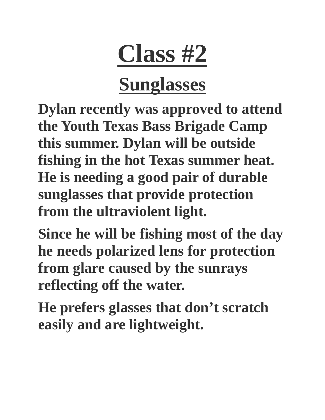# **Class #2**

## **Sunglasses**

**Dylan recently was approved to attend the Youth Texas Bass Brigade Camp this summer. Dylan will be outside fishing in the hot Texas summer heat. He is needing a good pair of durable sunglasses that provide protection from the ultraviolent light.** 

**Since he will be fishing most of the day he needs polarized lens for protection from glare caused by the sunrays reflecting off the water.** 

**He prefers glasses that don't scratch easily and are lightweight.**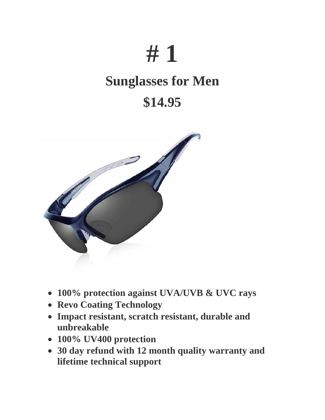# **# 1**

### **Sunglasses for Men**

### **\$14.95**



- **100% protection against UVA/UVB & UVC rays**
- **Revo Coating Technology**
- **Impact resistant, scratch resistant, durable and unbreakable**
- **100% UV400 protection**
- **30 day refund with 12 month quality warranty and lifetime technical support**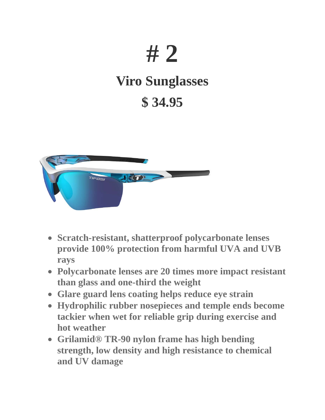## **# 2**

### **Viro Sunglasses \$ 34.95**



- **Scratch-resistant, shatterproof polycarbonate lenses provide 100% protection from harmful UVA and UVB rays**
- **Polycarbonate lenses are 20 times more impact resistant than glass and one-third the weight**
- **Glare guard lens coating helps reduce eye strain**
- **Hydrophilic rubber nosepieces and temple ends become tackier when wet for reliable grip during exercise and hot weather**
- **Grilamid® TR-90 nylon frame has high bending strength, low density and high resistance to chemical and UV damage**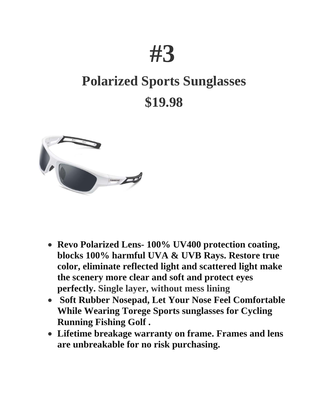## **#3**

## **Polarized Sports Sunglasses \$19.98**



- **Revo Polarized Lens- 100% UV400 protection coating, blocks 100% harmful UVA & UVB Rays. Restore true color, eliminate reflected light and scattered light make the scenery more clear and soft and protect eyes perfectly. Single layer, without mess lining**
- **Soft Rubber Nosepad, Let Your Nose Feel Comfortable While Wearing Torege Sports sunglasses for Cycling Running Fishing Golf .**
- **Lifetime breakage warranty on frame. Frames and lens are unbreakable for no risk purchasing.**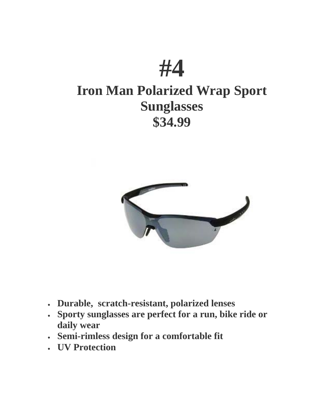



- **Durable, scratch-resistant, polarized lenses**
- **Sporty sunglasses are perfect for a run, bike ride or daily wear**
- **Semi-rimless design for a comfortable fit**
- **UV Protection**